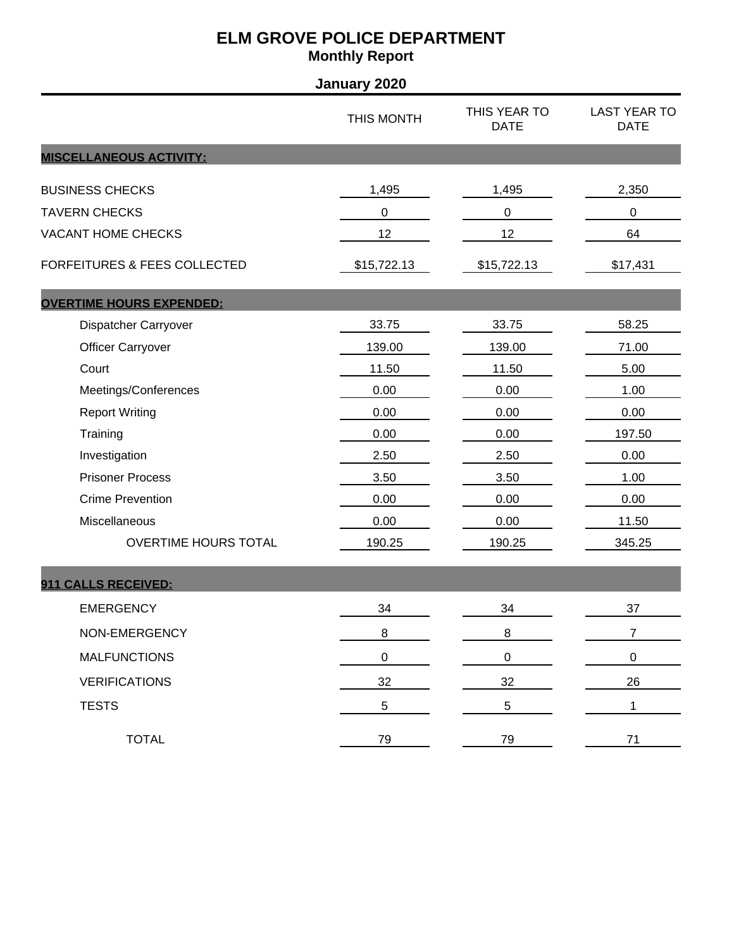| January 2020                            |             |                             |                                    |  |
|-----------------------------------------|-------------|-----------------------------|------------------------------------|--|
|                                         | THIS MONTH  | THIS YEAR TO<br><b>DATE</b> | <b>LAST YEAR TO</b><br><b>DATE</b> |  |
| <b>MISCELLANEOUS ACTIVITY:</b>          |             |                             |                                    |  |
| <b>BUSINESS CHECKS</b>                  | 1,495       | 1,495                       | 2,350                              |  |
| <b>TAVERN CHECKS</b>                    | 0           | $\pmb{0}$                   | $\boldsymbol{0}$                   |  |
| <b>VACANT HOME CHECKS</b>               | 12          | 12                          | 64                                 |  |
| <b>FORFEITURES &amp; FEES COLLECTED</b> | \$15,722.13 | \$15,722.13                 | \$17,431                           |  |
| <b>OVERTIME HOURS EXPENDED:</b>         |             |                             |                                    |  |
| Dispatcher Carryover                    | 33.75       | 33.75                       | 58.25                              |  |
| <b>Officer Carryover</b>                | 139.00      | 139.00                      | 71.00                              |  |
| Court                                   | 11.50       | 11.50                       | 5.00                               |  |
| Meetings/Conferences                    | 0.00        | 0.00                        | 1.00                               |  |
| <b>Report Writing</b>                   | 0.00        | 0.00                        | 0.00                               |  |
| Training                                | 0.00        | 0.00                        | 197.50                             |  |
| Investigation                           | 2.50        | 2.50                        | 0.00                               |  |
| <b>Prisoner Process</b>                 | 3.50        | 3.50                        | 1.00                               |  |
| <b>Crime Prevention</b>                 | 0.00        | 0.00                        | 0.00                               |  |
| Miscellaneous                           | 0.00        | 0.00                        | 11.50                              |  |
| OVERTIME HOURS TOTAL                    | 190.25      | 190.25                      | 345.25                             |  |
| 911 CALLS RECEIVED:                     |             |                             |                                    |  |
| <b>EMERGENCY</b>                        | 34          | 34                          | 37                                 |  |
| NON-EMERGENCY                           | 8           | $\bf 8$                     | $\overline{7}$                     |  |
| <b>MALFUNCTIONS</b>                     | 0           | $\pmb{0}$                   | $\pmb{0}$                          |  |
| <b>VERIFICATIONS</b>                    | 32          | 32                          | 26                                 |  |
| <b>TESTS</b>                            | 5           | 5                           | 1                                  |  |
| <b>TOTAL</b>                            | 79          | 79                          | 71                                 |  |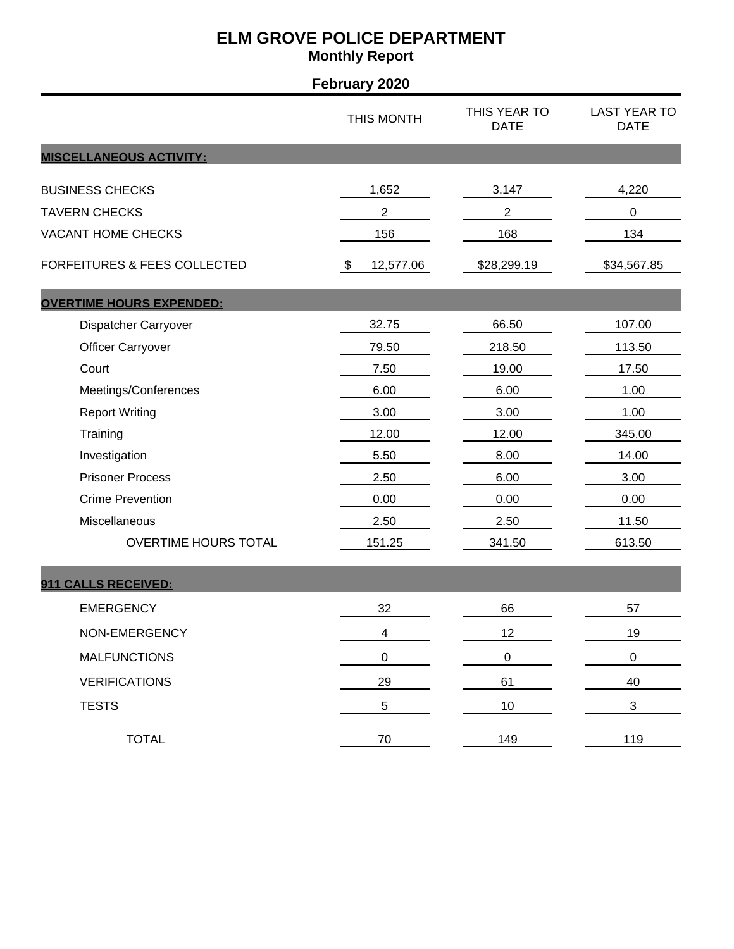| <b>February 2020</b>                    |                             |                             |                                    |  |
|-----------------------------------------|-----------------------------|-----------------------------|------------------------------------|--|
|                                         | THIS MONTH                  | THIS YEAR TO<br><b>DATE</b> | <b>LAST YEAR TO</b><br><b>DATE</b> |  |
| <b>MISCELLANEOUS ACTIVITY:</b>          |                             |                             |                                    |  |
| <b>BUSINESS CHECKS</b>                  | 1,652                       | 3,147                       | 4,220                              |  |
| <b>TAVERN CHECKS</b>                    | $\overline{c}$              | $\overline{c}$              | $\,0\,$                            |  |
| <b>VACANT HOME CHECKS</b>               | 156                         | 168                         | 134                                |  |
| <b>FORFEITURES &amp; FEES COLLECTED</b> | 12,577.06<br>$\mathfrak{F}$ | \$28,299.19                 | \$34,567.85                        |  |
| <b>OVERTIME HOURS EXPENDED:</b>         |                             |                             |                                    |  |
| Dispatcher Carryover                    | 32.75                       | 66.50                       | 107.00                             |  |
| <b>Officer Carryover</b>                | 79.50                       | 218.50                      | 113.50                             |  |
| Court                                   | 7.50                        | 19.00                       | 17.50                              |  |
| Meetings/Conferences                    | 6.00                        | 6.00                        | 1.00                               |  |
| <b>Report Writing</b>                   | 3.00                        | 3.00                        | 1.00                               |  |
| Training                                | 12.00                       | 12.00                       | 345.00                             |  |
| Investigation                           | 5.50                        | 8.00                        | 14.00                              |  |
| <b>Prisoner Process</b>                 | 2.50                        | 6.00                        | 3.00                               |  |
| <b>Crime Prevention</b>                 | 0.00                        | 0.00                        | 0.00                               |  |
| Miscellaneous                           | 2.50                        | 2.50                        | 11.50                              |  |
| OVERTIME HOURS TOTAL                    | 151.25                      | 341.50                      | 613.50                             |  |
| 911 CALLS RECEIVED:                     |                             |                             |                                    |  |
| <b>EMERGENCY</b>                        | 32                          | 66                          | 57                                 |  |
| NON-EMERGENCY                           | $\overline{\mathbf{4}}$     | 12                          | 19                                 |  |
| <b>MALFUNCTIONS</b>                     | 0                           | $\pmb{0}$                   | $\pmb{0}$                          |  |
| <b>VERIFICATIONS</b>                    | 29                          | 61                          | 40                                 |  |
| <b>TESTS</b>                            | 5                           | $10$                        | $\sqrt{3}$                         |  |
| <b>TOTAL</b>                            | 70                          | 149                         | 119                                |  |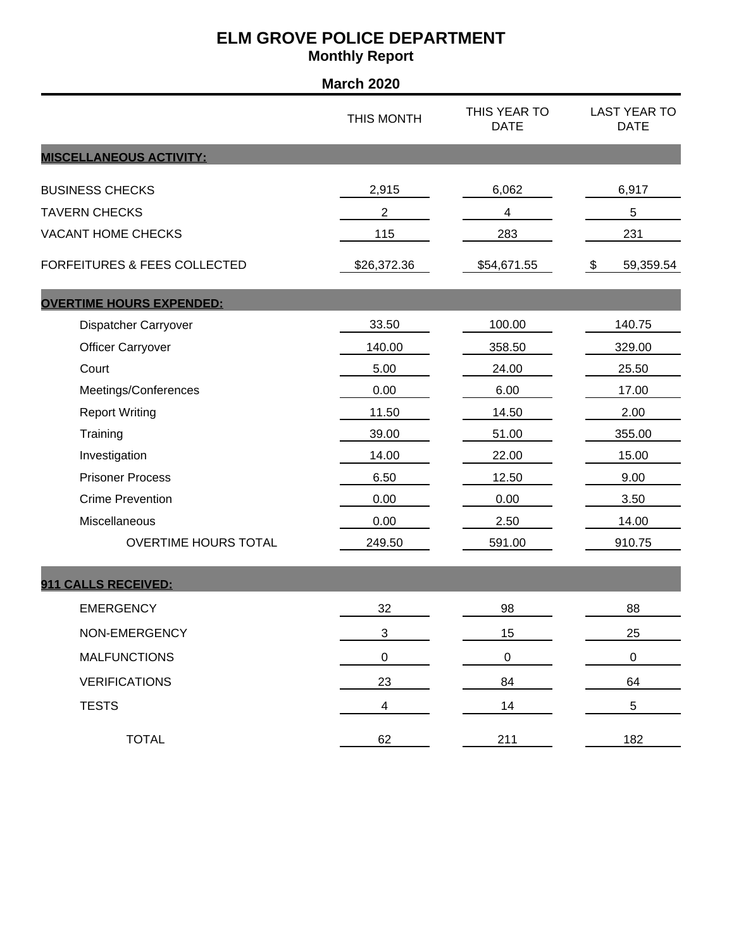|                                         | <b>March 2020</b>       |                             |                                    |
|-----------------------------------------|-------------------------|-----------------------------|------------------------------------|
|                                         | THIS MONTH              | THIS YEAR TO<br><b>DATE</b> | <b>LAST YEAR TO</b><br><b>DATE</b> |
| <b>MISCELLANEOUS ACTIVITY:</b>          |                         |                             |                                    |
| <b>BUSINESS CHECKS</b>                  | 2,915                   | 6,062                       | 6,917                              |
| <b>TAVERN CHECKS</b>                    | $\overline{c}$          | 4                           | $\,$ 5 $\,$                        |
| <b>VACANT HOME CHECKS</b>               | 115                     | 283                         | 231                                |
| <b>FORFEITURES &amp; FEES COLLECTED</b> | \$26,372.36             | \$54,671.55                 | \$<br>59,359.54                    |
| <b>OVERTIME HOURS EXPENDED:</b>         |                         |                             |                                    |
| Dispatcher Carryover                    | 33.50                   | 100.00                      | 140.75                             |
| <b>Officer Carryover</b>                | 140.00                  | 358.50                      | 329.00                             |
| Court                                   | 5.00                    | 24.00                       | 25.50                              |
| Meetings/Conferences                    | 0.00                    | 6.00                        | 17.00                              |
| <b>Report Writing</b>                   | 11.50                   | 14.50                       | 2.00                               |
| Training                                | 39.00                   | 51.00                       | 355.00                             |
| Investigation                           | 14.00                   | 22.00                       | 15.00                              |
| <b>Prisoner Process</b>                 | 6.50                    | 12.50                       | 9.00                               |
| <b>Crime Prevention</b>                 | 0.00                    | 0.00                        | 3.50                               |
| Miscellaneous                           | 0.00                    | 2.50                        | 14.00                              |
| <b>OVERTIME HOURS TOTAL</b>             | 249.50                  | 591.00                      | 910.75                             |
| 911 CALLS RECEIVED:                     |                         |                             |                                    |
| <b>EMERGENCY</b>                        | 32                      | 98                          | 88                                 |
| NON-EMERGENCY                           | $\mathfrak{S}$          | 15                          | 25                                 |
| <b>MALFUNCTIONS</b>                     | $\pmb{0}$               | $\pmb{0}$                   | $\pmb{0}$                          |
| <b>VERIFICATIONS</b>                    | 23                      | 84                          | 64                                 |
| <b>TESTS</b>                            | $\overline{\mathbf{4}}$ | 14                          | 5                                  |
| <b>TOTAL</b>                            | 62                      | 211                         | 182                                |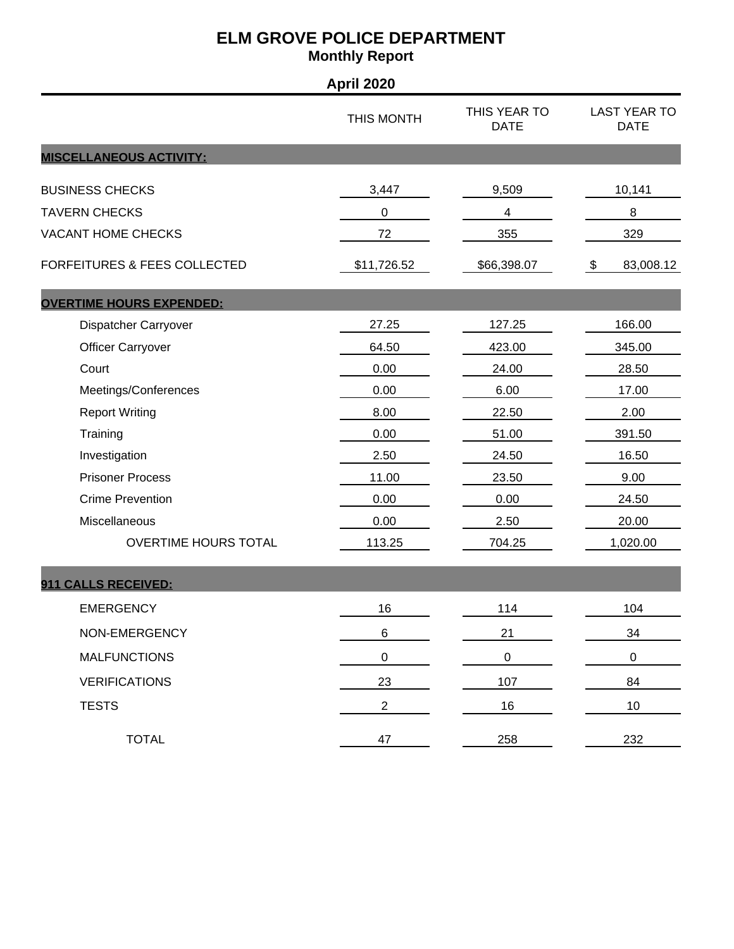|                                 | <b>April 2020</b> |                             |                                    |
|---------------------------------|-------------------|-----------------------------|------------------------------------|
|                                 | THIS MONTH        | THIS YEAR TO<br><b>DATE</b> | <b>LAST YEAR TO</b><br><b>DATE</b> |
| <b>MISCELLANEOUS ACTIVITY:</b>  |                   |                             |                                    |
| <b>BUSINESS CHECKS</b>          | 3,447             | 9,509                       | 10,141                             |
| <b>TAVERN CHECKS</b>            | 0                 | $\overline{\mathcal{A}}$    | 8                                  |
| <b>VACANT HOME CHECKS</b>       | 72                | 355                         | 329                                |
| FORFEITURES & FEES COLLECTED    | \$11,726.52       | \$66,398.07                 | 83,008.12<br>\$                    |
| <b>OVERTIME HOURS EXPENDED:</b> |                   |                             |                                    |
| Dispatcher Carryover            | 27.25             | 127.25                      | 166.00                             |
| <b>Officer Carryover</b>        | 64.50             | 423.00                      | 345.00                             |
| Court                           | 0.00              | 24.00                       | 28.50                              |
| Meetings/Conferences            | 0.00              | 6.00                        | 17.00                              |
| <b>Report Writing</b>           | 8.00              | 22.50                       | 2.00                               |
| Training                        | 0.00              | 51.00                       | 391.50                             |
| Investigation                   | 2.50              | 24.50                       | 16.50                              |
| <b>Prisoner Process</b>         | 11.00             | 23.50                       | 9.00                               |
| <b>Crime Prevention</b>         | 0.00              | 0.00                        | 24.50                              |
| Miscellaneous                   | 0.00              | 2.50                        | 20.00                              |
| <b>OVERTIME HOURS TOTAL</b>     | 113.25            | 704.25                      | 1,020.00                           |
| 911 CALLS RECEIVED:             |                   |                             |                                    |
| <b>EMERGENCY</b>                | 16                | 114                         | 104                                |
| NON-EMERGENCY                   | 6                 | 21                          | 34                                 |
| <b>MALFUNCTIONS</b>             | 0                 | $\pmb{0}$                   | $\pmb{0}$                          |
| <b>VERIFICATIONS</b>            | 23                | 107                         | 84                                 |
| <b>TESTS</b>                    | $\overline{2}$    | 16                          | 10                                 |
| <b>TOTAL</b>                    | 47                | 258                         | 232                                |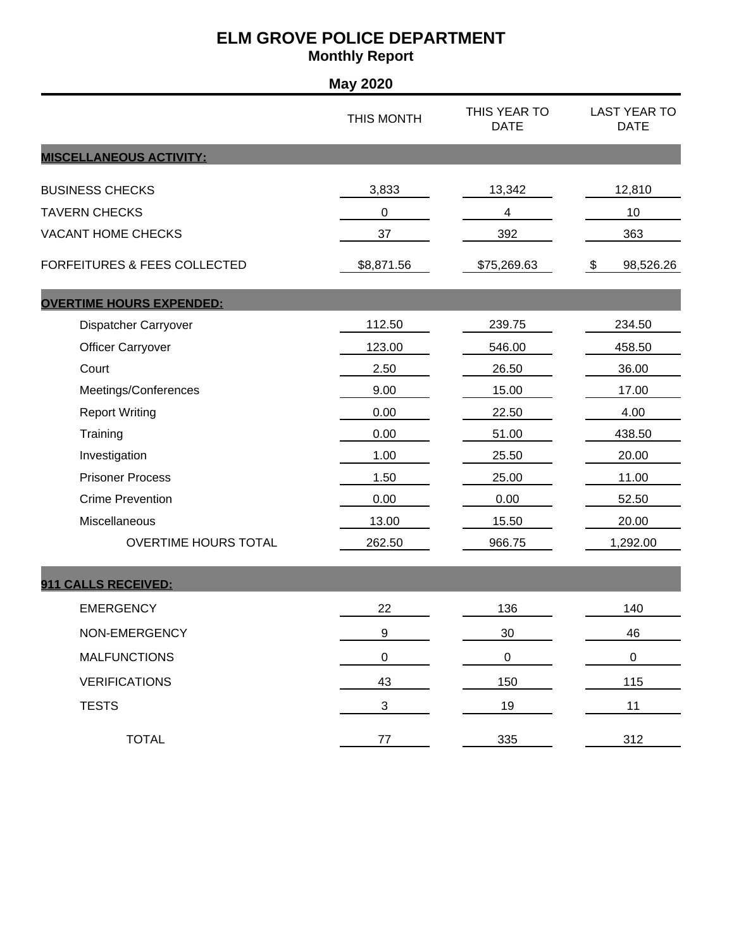| <b>May 2020</b>                         |                  |                             |                                    |  |
|-----------------------------------------|------------------|-----------------------------|------------------------------------|--|
|                                         | THIS MONTH       | THIS YEAR TO<br><b>DATE</b> | <b>LAST YEAR TO</b><br><b>DATE</b> |  |
| <b>MISCELLANEOUS ACTIVITY:</b>          |                  |                             |                                    |  |
| <b>BUSINESS CHECKS</b>                  | 3,833            | 13,342                      | 12,810                             |  |
| <b>TAVERN CHECKS</b>                    | 0                | 4                           | 10                                 |  |
| <b>VACANT HOME CHECKS</b>               | 37               | 392                         | 363                                |  |
| <b>FORFEITURES &amp; FEES COLLECTED</b> | \$8,871.56       | \$75,269.63                 | \$<br>98,526.26                    |  |
| <b>OVERTIME HOURS EXPENDED:</b>         |                  |                             |                                    |  |
| Dispatcher Carryover                    | 112.50           | 239.75                      | 234.50                             |  |
| <b>Officer Carryover</b>                | 123.00           | 546.00                      | 458.50                             |  |
| Court                                   | 2.50             | 26.50                       | 36.00                              |  |
| Meetings/Conferences                    | 9.00             | 15.00                       | 17.00                              |  |
| <b>Report Writing</b>                   | 0.00             | 22.50                       | 4.00                               |  |
| Training                                | 0.00             | 51.00                       | 438.50                             |  |
| Investigation                           | 1.00             | 25.50                       | 20.00                              |  |
| <b>Prisoner Process</b>                 | 1.50             | 25.00                       | 11.00                              |  |
| <b>Crime Prevention</b>                 | 0.00             | 0.00                        | 52.50                              |  |
| Miscellaneous                           | 13.00            | 15.50                       | 20.00                              |  |
| OVERTIME HOURS TOTAL                    | 262.50           | 966.75                      | 1,292.00                           |  |
| 911 CALLS RECEIVED:                     |                  |                             |                                    |  |
| <b>EMERGENCY</b>                        | 22               | 136                         | 140                                |  |
| NON-EMERGENCY                           | $\boldsymbol{9}$ | 30                          | 46                                 |  |
| <b>MALFUNCTIONS</b>                     | $\pmb{0}$        | $\pmb{0}$                   | $\boldsymbol{0}$                   |  |
| <b>VERIFICATIONS</b>                    | 43               | 150                         | 115                                |  |
| <b>TESTS</b>                            | 3                | 19                          | 11                                 |  |
| <b>TOTAL</b>                            | $77 \,$          | 335                         | 312                                |  |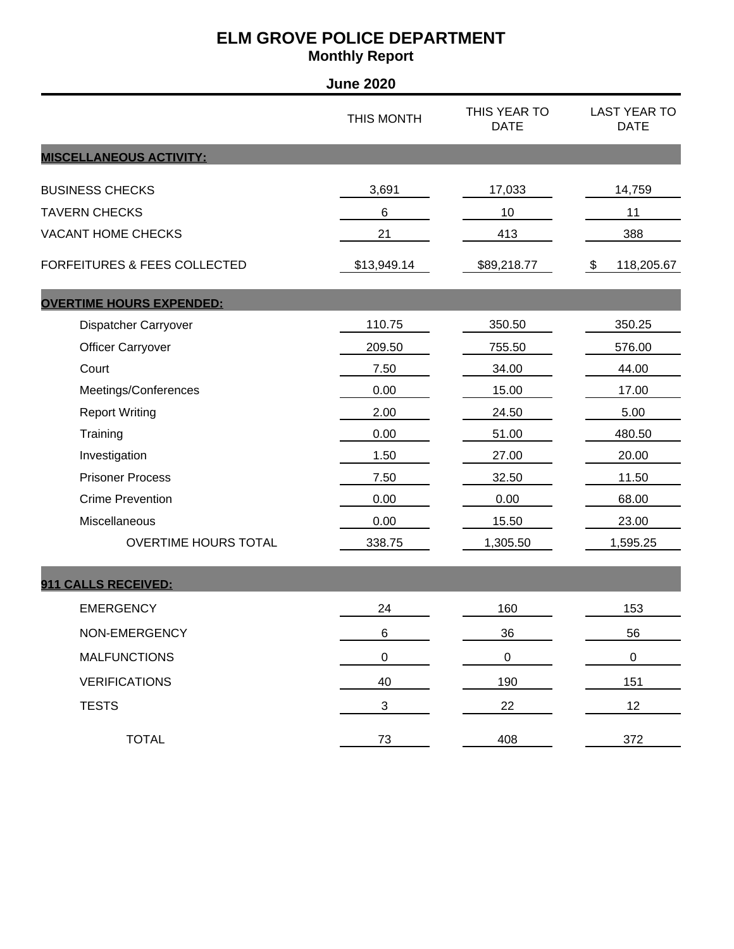|                                         | <b>June 2020</b> |                             |                                    |
|-----------------------------------------|------------------|-----------------------------|------------------------------------|
|                                         | THIS MONTH       | THIS YEAR TO<br><b>DATE</b> | <b>LAST YEAR TO</b><br><b>DATE</b> |
| <b>MISCELLANEOUS ACTIVITY:</b>          |                  |                             |                                    |
| <b>BUSINESS CHECKS</b>                  | 3,691            | 17,033                      | 14,759                             |
| <b>TAVERN CHECKS</b>                    | 6                | 10                          | 11                                 |
| <b>VACANT HOME CHECKS</b>               | 21               | 413                         | 388                                |
| <b>FORFEITURES &amp; FEES COLLECTED</b> | \$13,949.14      | \$89,218.77                 | 118,205.67<br>\$                   |
| <b>OVERTIME HOURS EXPENDED:</b>         |                  |                             |                                    |
| Dispatcher Carryover                    | 110.75           | 350.50                      | 350.25                             |
| <b>Officer Carryover</b>                | 209.50           | 755.50                      | 576.00                             |
| Court                                   | 7.50             | 34.00                       | 44.00                              |
| Meetings/Conferences                    | 0.00             | 15.00                       | 17.00                              |
| <b>Report Writing</b>                   | 2.00             | 24.50                       | 5.00                               |
| Training                                | 0.00             | 51.00                       | 480.50                             |
| Investigation                           | 1.50             | 27.00                       | 20.00                              |
| <b>Prisoner Process</b>                 | 7.50             | 32.50                       | 11.50                              |
| <b>Crime Prevention</b>                 | 0.00             | 0.00                        | 68.00                              |
| Miscellaneous                           | 0.00             | 15.50                       | 23.00                              |
| OVERTIME HOURS TOTAL                    | 338.75           | 1,305.50                    | 1,595.25                           |
| 911 CALLS RECEIVED:                     |                  |                             |                                    |
| <b>EMERGENCY</b>                        | 24               | 160                         | 153                                |
| NON-EMERGENCY                           | $\,6$            | 36                          | 56                                 |
| <b>MALFUNCTIONS</b>                     | $\pmb{0}$        | $\pmb{0}$                   | $\pmb{0}$                          |
| <b>VERIFICATIONS</b>                    | 40               | 190                         | 151                                |
| <b>TESTS</b>                            | $\sqrt{3}$       | 22                          | 12                                 |
| <b>TOTAL</b>                            | $73\,$           | 408                         | 372                                |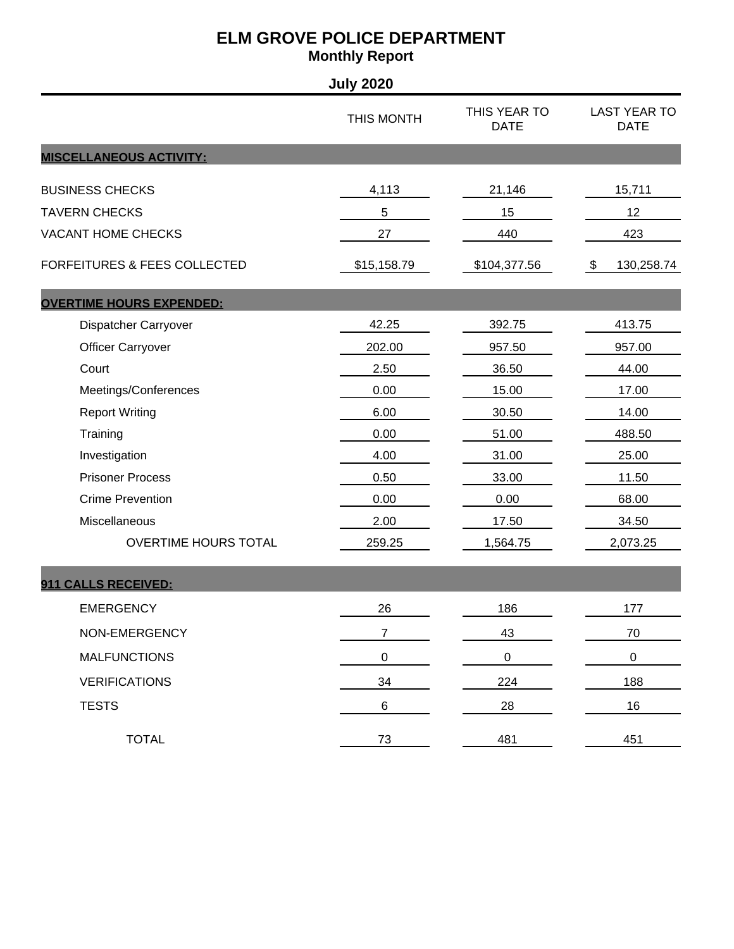|                                         | <b>July 2020</b> |                             |                                    |
|-----------------------------------------|------------------|-----------------------------|------------------------------------|
|                                         | THIS MONTH       | THIS YEAR TO<br><b>DATE</b> | <b>LAST YEAR TO</b><br><b>DATE</b> |
| <b>MISCELLANEOUS ACTIVITY:</b>          |                  |                             |                                    |
| <b>BUSINESS CHECKS</b>                  | 4,113            | 21,146                      | 15,711                             |
| <b>TAVERN CHECKS</b>                    | 5                | 15                          | 12                                 |
| <b>VACANT HOME CHECKS</b>               | 27               | 440                         | 423                                |
| <b>FORFEITURES &amp; FEES COLLECTED</b> | \$15,158.79      | \$104,377.56                | \$<br>130,258.74                   |
| <b>OVERTIME HOURS EXPENDED:</b>         |                  |                             |                                    |
| Dispatcher Carryover                    | 42.25            | 392.75                      | 413.75                             |
| <b>Officer Carryover</b>                | 202.00           | 957.50                      | 957.00                             |
| Court                                   | 2.50             | 36.50                       | 44.00                              |
| Meetings/Conferences                    | 0.00             | 15.00                       | 17.00                              |
| <b>Report Writing</b>                   | 6.00             | 30.50                       | 14.00                              |
| Training                                | 0.00             | 51.00                       | 488.50                             |
| Investigation                           | 4.00             | 31.00                       | 25.00                              |
| <b>Prisoner Process</b>                 | 0.50             | 33.00                       | 11.50                              |
| <b>Crime Prevention</b>                 | 0.00             | 0.00                        | 68.00                              |
| Miscellaneous                           | 2.00             | 17.50                       | 34.50                              |
| OVERTIME HOURS TOTAL                    | 259.25           | 1,564.75                    | 2,073.25                           |
| 911 CALLS RECEIVED:                     |                  |                             |                                    |
| <b>EMERGENCY</b>                        | 26               | 186                         | 177                                |
| NON-EMERGENCY                           | $\overline{7}$   | 43                          | 70                                 |
| <b>MALFUNCTIONS</b>                     | $\pmb{0}$        | $\pmb{0}$                   | $\boldsymbol{0}$                   |
| <b>VERIFICATIONS</b>                    | 34               | 224                         | 188                                |
| <b>TESTS</b>                            | $\,6$            | 28                          | 16                                 |
| <b>TOTAL</b>                            | 73               | 481                         | 451                                |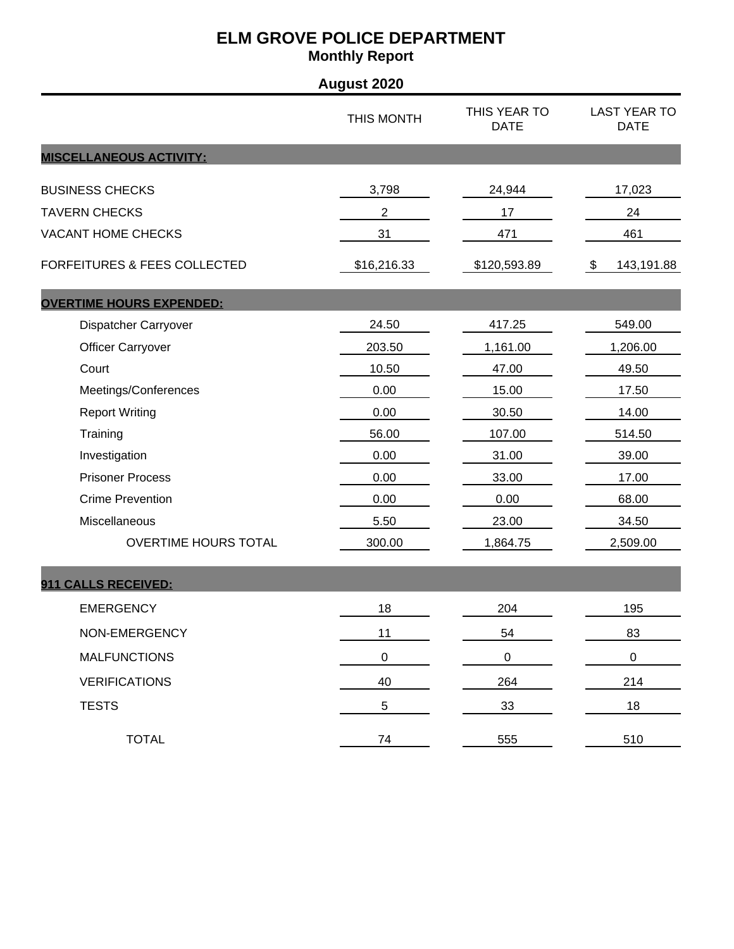| <b>August 2020</b>                      |                |                             |                                    |  |
|-----------------------------------------|----------------|-----------------------------|------------------------------------|--|
|                                         | THIS MONTH     | THIS YEAR TO<br><b>DATE</b> | <b>LAST YEAR TO</b><br><b>DATE</b> |  |
| <b>MISCELLANEOUS ACTIVITY:</b>          |                |                             |                                    |  |
| <b>BUSINESS CHECKS</b>                  | 3,798          | 24,944                      | 17,023                             |  |
| <b>TAVERN CHECKS</b>                    | $\overline{c}$ | 17                          | 24                                 |  |
| <b>VACANT HOME CHECKS</b>               | 31             | 471                         | 461                                |  |
| <b>FORFEITURES &amp; FEES COLLECTED</b> | \$16,216.33    | \$120,593.89                | 143,191.88<br>\$                   |  |
| <b>OVERTIME HOURS EXPENDED:</b>         |                |                             |                                    |  |
| Dispatcher Carryover                    | 24.50          | 417.25                      | 549.00                             |  |
| <b>Officer Carryover</b>                | 203.50         | 1,161.00                    | 1,206.00                           |  |
| Court                                   | 10.50          | 47.00                       | 49.50                              |  |
| Meetings/Conferences                    | 0.00           | 15.00                       | 17.50                              |  |
| <b>Report Writing</b>                   | 0.00           | 30.50                       | 14.00                              |  |
| Training                                | 56.00          | 107.00                      | 514.50                             |  |
| Investigation                           | 0.00           | 31.00                       | 39.00                              |  |
| <b>Prisoner Process</b>                 | 0.00           | 33.00                       | 17.00                              |  |
| <b>Crime Prevention</b>                 | 0.00           | 0.00                        | 68.00                              |  |
| Miscellaneous                           | 5.50           | 23.00                       | 34.50                              |  |
| <b>OVERTIME HOURS TOTAL</b>             | 300.00         | 1,864.75                    | 2,509.00                           |  |
| 911 CALLS RECEIVED:                     |                |                             |                                    |  |
| <b>EMERGENCY</b>                        | 18             | 204                         | 195                                |  |
| NON-EMERGENCY                           | 11             | 54                          | 83                                 |  |
| <b>MALFUNCTIONS</b>                     | $\pmb{0}$      | $\mathsf 0$                 | $\boldsymbol{0}$                   |  |
| <b>VERIFICATIONS</b>                    | 40             | 264                         | 214                                |  |
| <b>TESTS</b>                            | 5              | 33                          | 18                                 |  |
| <b>TOTAL</b>                            | 74             | 555                         | 510                                |  |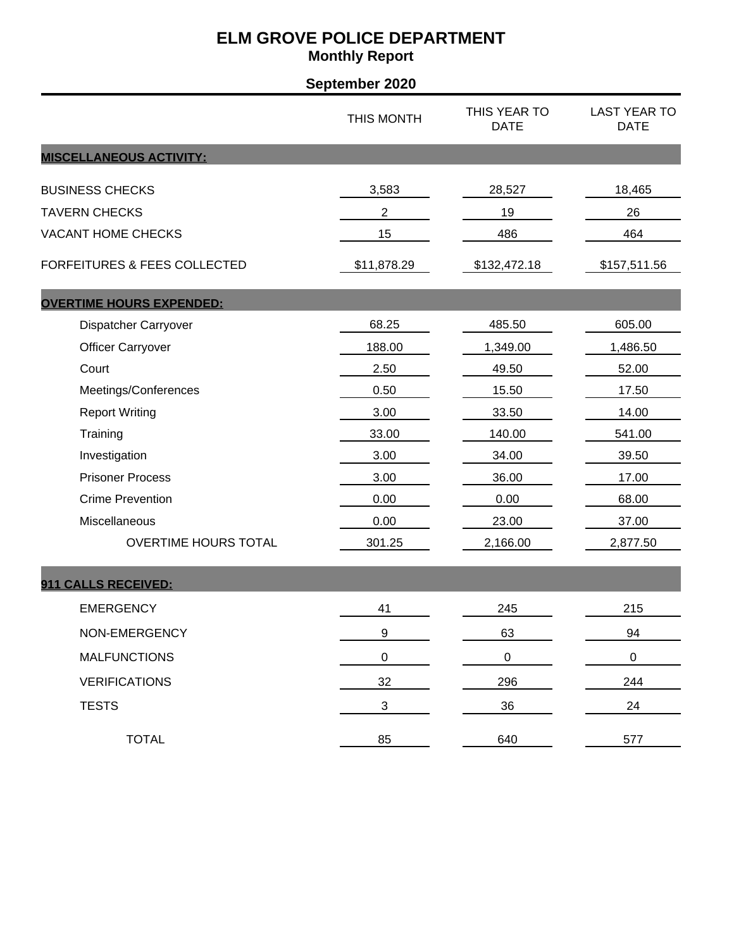| September 2020                          |                           |                             |                                    |
|-----------------------------------------|---------------------------|-----------------------------|------------------------------------|
|                                         | THIS MONTH                | THIS YEAR TO<br><b>DATE</b> | <b>LAST YEAR TO</b><br><b>DATE</b> |
| <b>MISCELLANEOUS ACTIVITY:</b>          |                           |                             |                                    |
| <b>BUSINESS CHECKS</b>                  | 3,583                     | 28,527                      | 18,465                             |
| <b>TAVERN CHECKS</b>                    | $\overline{c}$            | 19                          | 26                                 |
| <b>VACANT HOME CHECKS</b>               | 15                        | 486                         | 464                                |
| <b>FORFEITURES &amp; FEES COLLECTED</b> | \$11,878.29               | \$132,472.18                | \$157,511.56                       |
| <b>OVERTIME HOURS EXPENDED:</b>         |                           |                             |                                    |
| Dispatcher Carryover                    | 68.25                     | 485.50                      | 605.00                             |
| <b>Officer Carryover</b>                | 188.00                    | 1,349.00                    | 1,486.50                           |
| Court                                   | 2.50                      | 49.50                       | 52.00                              |
| Meetings/Conferences                    | 0.50                      | 15.50                       | 17.50                              |
| <b>Report Writing</b>                   | 3.00                      | 33.50                       | 14.00                              |
| Training                                | 33.00                     | 140.00                      | 541.00                             |
| Investigation                           | 3.00                      | 34.00                       | 39.50                              |
| <b>Prisoner Process</b>                 | 3.00                      | 36.00                       | 17.00                              |
| <b>Crime Prevention</b>                 | 0.00                      | 0.00                        | 68.00                              |
| Miscellaneous                           | 0.00                      | 23.00                       | 37.00                              |
| <b>OVERTIME HOURS TOTAL</b>             | 301.25                    | 2,166.00                    | 2,877.50                           |
| 911 CALLS RECEIVED:                     |                           |                             |                                    |
| <b>EMERGENCY</b>                        | 41                        | 245                         | 215                                |
| NON-EMERGENCY                           | $\boldsymbol{9}$          | 63                          | 94                                 |
| <b>MALFUNCTIONS</b>                     | $\pmb{0}$                 | $\pmb{0}$                   | $\pmb{0}$                          |
| <b>VERIFICATIONS</b>                    | 32                        | 296                         | 244                                |
| <b>TESTS</b>                            | $\ensuremath{\mathsf{3}}$ | 36                          | 24                                 |
| <b>TOTAL</b>                            | 85                        | 640                         | 577                                |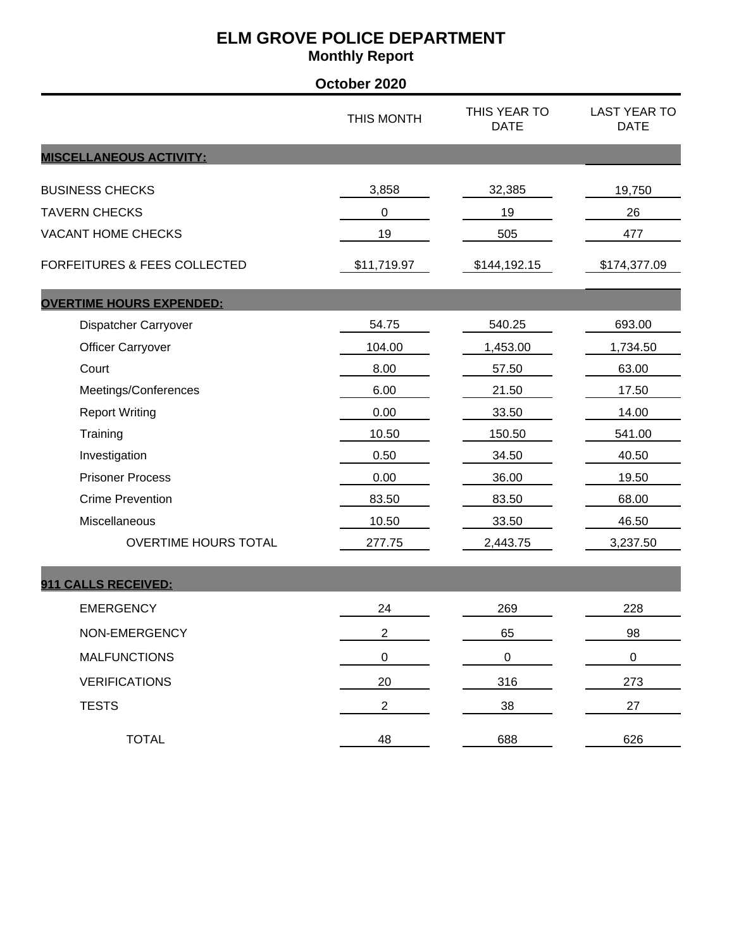|                                         | October 2020   |                             |                                    |
|-----------------------------------------|----------------|-----------------------------|------------------------------------|
|                                         | THIS MONTH     | THIS YEAR TO<br><b>DATE</b> | <b>LAST YEAR TO</b><br><b>DATE</b> |
| <b>MISCELLANEOUS ACTIVITY:</b>          |                |                             |                                    |
| <b>BUSINESS CHECKS</b>                  | 3,858          | 32,385                      | 19,750                             |
| <b>TAVERN CHECKS</b>                    | 0              | 19                          | 26                                 |
| <b>VACANT HOME CHECKS</b>               | 19             | 505                         | 477                                |
| <b>FORFEITURES &amp; FEES COLLECTED</b> | \$11,719.97    | \$144,192.15                | \$174,377.09                       |
| <b>OVERTIME HOURS EXPENDED:</b>         |                |                             |                                    |
| Dispatcher Carryover                    | 54.75          | 540.25                      | 693.00                             |
| <b>Officer Carryover</b>                | 104.00         | 1,453.00                    | 1,734.50                           |
| Court                                   | 8.00           | 57.50                       | 63.00                              |
| Meetings/Conferences                    | 6.00           | 21.50                       | 17.50                              |
| <b>Report Writing</b>                   | 0.00           | 33.50                       | 14.00                              |
| Training                                | 10.50          | 150.50                      | 541.00                             |
| Investigation                           | 0.50           | 34.50                       | 40.50                              |
| <b>Prisoner Process</b>                 | 0.00           | 36.00                       | 19.50                              |
| <b>Crime Prevention</b>                 | 83.50          | 83.50                       | 68.00                              |
| Miscellaneous                           | 10.50          | 33.50                       | 46.50                              |
| <b>OVERTIME HOURS TOTAL</b>             | 277.75         | 2,443.75                    | 3,237.50                           |
| 911 CALLS RECEIVED:                     |                |                             |                                    |
| <b>EMERGENCY</b>                        | 24             | 269                         | 228                                |
| NON-EMERGENCY                           | $\overline{2}$ | 65                          | 98                                 |
| <b>MALFUNCTIONS</b>                     | $\pmb{0}$      | $\pmb{0}$                   | $\pmb{0}$                          |
| <b>VERIFICATIONS</b>                    | 20             | 316                         | 273                                |
| <b>TESTS</b>                            | $\overline{2}$ | 38                          | 27                                 |
| <b>TOTAL</b>                            | 48             | 688                         | 626                                |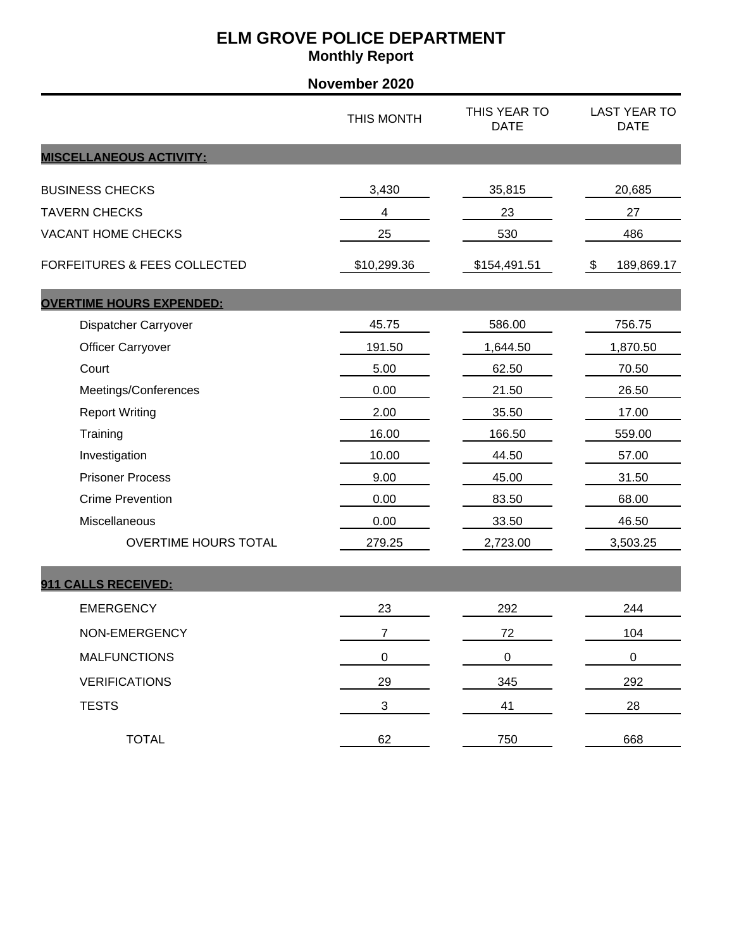| November 2020                           |                           |                             |                                    |  |
|-----------------------------------------|---------------------------|-----------------------------|------------------------------------|--|
|                                         | THIS MONTH                | THIS YEAR TO<br><b>DATE</b> | <b>LAST YEAR TO</b><br><b>DATE</b> |  |
| <b>MISCELLANEOUS ACTIVITY:</b>          |                           |                             |                                    |  |
| <b>BUSINESS CHECKS</b>                  | 3,430                     | 35,815                      | 20,685                             |  |
| <b>TAVERN CHECKS</b>                    | 4                         | 23                          | 27                                 |  |
| <b>VACANT HOME CHECKS</b>               | 25                        | 530                         | 486                                |  |
| <b>FORFEITURES &amp; FEES COLLECTED</b> | \$10,299.36               | \$154,491.51                | 189,869.17<br>$\frac{1}{2}$        |  |
| <b>OVERTIME HOURS EXPENDED:</b>         |                           |                             |                                    |  |
| Dispatcher Carryover                    | 45.75                     | 586.00                      | 756.75                             |  |
| <b>Officer Carryover</b>                | 191.50                    | 1,644.50                    | 1,870.50                           |  |
| Court                                   | 5.00                      | 62.50                       | 70.50                              |  |
| Meetings/Conferences                    | 0.00                      | 21.50                       | 26.50                              |  |
| <b>Report Writing</b>                   | 2.00                      | 35.50                       | 17.00                              |  |
| Training                                | 16.00                     | 166.50                      | 559.00                             |  |
| Investigation                           | 10.00                     | 44.50                       | 57.00                              |  |
| <b>Prisoner Process</b>                 | 9.00                      | 45.00                       | 31.50                              |  |
| <b>Crime Prevention</b>                 | 0.00                      | 83.50                       | 68.00                              |  |
| Miscellaneous                           | 0.00                      | 33.50                       | 46.50                              |  |
| <b>OVERTIME HOURS TOTAL</b>             | 279.25                    | 2,723.00                    | 3,503.25                           |  |
| 911 CALLS RECEIVED:                     |                           |                             |                                    |  |
| <b>EMERGENCY</b>                        | 23                        | 292                         | 244                                |  |
| NON-EMERGENCY                           | $\overline{7}$            | 72                          | 104                                |  |
| <b>MALFUNCTIONS</b>                     | $\pmb{0}$                 | $\mathsf 0$                 | $\pmb{0}$                          |  |
| <b>VERIFICATIONS</b>                    | 29                        | 345                         | 292                                |  |
| <b>TESTS</b>                            | $\ensuremath{\mathsf{3}}$ | 41                          | 28                                 |  |
| <b>TOTAL</b>                            | 62                        | 750                         | 668                                |  |